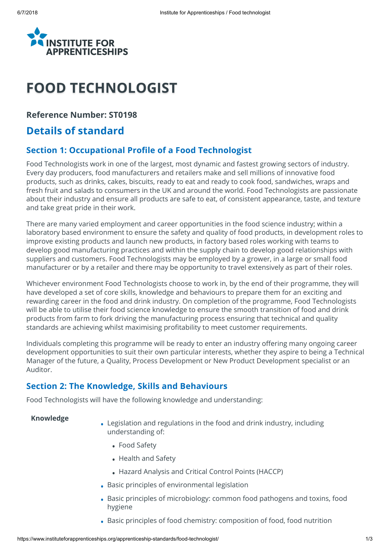

# FOOD TECHNOLOGIST

#### Reference Number: ST0198

## Details of standard

### Section 1: Occupational Profile of a Food Technologist

Food Technologists work in one of the largest, most dynamic and fastest growing sectors of industry. Every day producers, food manufacturers and retailers make and sell millions of innovative food products, such as drinks, cakes, biscuits, ready to eat and ready to cook food, sandwiches, wraps and fresh fruit and salads to consumers in the UK and around the world. Food Technologists are passionate about their industry and ensure all products are safe to eat, of consistent appearance, taste, and texture and take great pride in their work.

There are many varied employment and career opportunities in the food science industry; within a laboratory based environment to ensure the safety and quality of food products, in development roles to improve existing products and launch new products, in factory based roles working with teams to develop good manufacturing practices and within the supply chain to develop good relationships with suppliers and customers. Food Technologists may be employed by a grower, in a large or small food manufacturer or by a retailer and there may be opportunity to travel extensively as part of their roles.

Whichever environment Food Technologists choose to work in, by the end of their programme, they will have developed a set of core skills, knowledge and behaviours to prepare them for an exciting and rewarding career in the food and drink industry. On completion of the programme, Food Technologists will be able to utilise their food science knowledge to ensure the smooth transition of food and drink products from farm to fork driving the manufacturing process ensuring that technical and quality standards are achieving whilst maximising profitability to meet customer requirements.

Individuals completing this programme will be ready to enter an industry offering many ongoing career development opportunities to suit their own particular interests, whether they aspire to being a Technical Manager of the future, a Quality, Process Development or New Product Development specialist or an Auditor.

#### Section 2: The Knowledge, Skills and Behaviours

Food Technologists will have the following knowledge and understanding:

Knowledge

- Legislation and regulations in the food and drink industry, including understanding of:
	- Food Safety •
	- Health and Safety
	- Hazard Analysis and Critical Control Points (HACCP)
- Basic principles of environmental legislation
- Basic principles of microbiology: common food pathogens and toxins, food hygiene
- Basic principles of food chemistry: composition of food, food nutrition •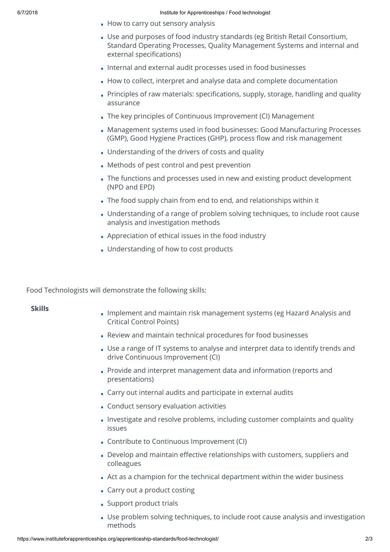- How to carry out sensory analysis
- Use and purposes of food industry standards (eg British Retail Consortium, Standard Operating Processes, Quality Management Systems and internal and external specifications)
- Internal and external audit processes used in food businesses
- How to collect, interpret and analyse data and complete documentation •
- Principles of raw materials: specifications, supply, storage, handling and quality assurance
- The key principles of Continuous Improvement (CI) Management •
- Management systems used in food businesses: Good Manufacturing Processes (GMP), Good Hygiene Practices (GHP), process flow and risk management
- Understanding of the drivers of costs and quality •
- Methods of pest control and pest prevention •
- The functions and processes used in new and existing product development (NPD and EPD)
- The food supply chain from end to end, and relationships within it •
- Understanding of a range of problem solving techniques, to include root cause analysis and investigation methods
- Appreciation of ethical issues in the food industry •
- Understanding of how to cost products •

Food Technologists will demonstrate the following skills:

#### Skills

- Implement and maintain risk management systems (eg Hazard Analysis and Critical Control Points)
- Review and maintain technical procedures for food businesses •
- Use a range of IT systems to analyse and interpret data to identify trends and drive Continuous Improvement (CI)
- Provide and interpret management data and information (reports and presentations)
- Carry out internal audits and participate in external audits •
- Conduct sensory evaluation activities •
- Investigate and resolve problems, including customer complaints and quality issues
- Contribute to Continuous Improvement (CI) •
- Develop and maintain effective relationships with customers, suppliers and  $\ddot{ }$ colleagues
- Act as a champion for the technical department within the wider business •
- Carry out a product costing
- Support product trials
- Use problem solving techniques, to include root cause analysis and investigation methods